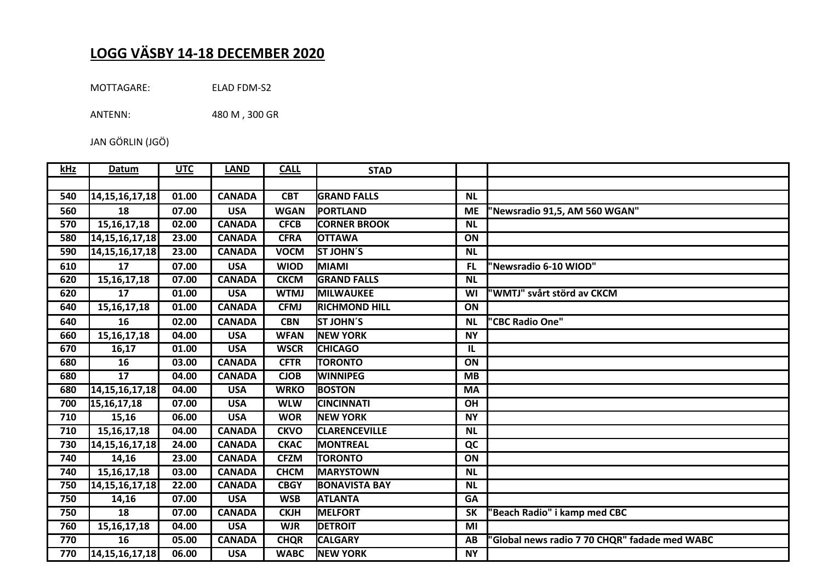## **LOGG VÄSBY 14-18 DECEMBER 2020**

MOTTAGARE: ELAD FDM-S2

ANTENN: 480 M , 300 GR

JAN GÖRLIN (JGÖ)

| kHz | Datum              | <b>UTC</b> | <b>LAND</b>   | <b>CALL</b> | <b>STAD</b>          |           |                                               |
|-----|--------------------|------------|---------------|-------------|----------------------|-----------|-----------------------------------------------|
|     |                    |            |               |             |                      |           |                                               |
| 540 | 14, 15, 16, 17, 18 | 01.00      | <b>CANADA</b> | <b>CBT</b>  | <b>GRAND FALLS</b>   | <b>NL</b> |                                               |
| 560 | 18                 | 07.00      | <b>USA</b>    | <b>WGAN</b> | PORTLAND             | <b>ME</b> | 'Newsradio 91,5, AM 560 WGAN"                 |
| 570 | 15, 16, 17, 18     | 02.00      | <b>CANADA</b> | <b>CFCB</b> | <b>CORNER BROOK</b>  | <b>NL</b> |                                               |
| 580 | 14, 15, 16, 17, 18 | 23.00      | <b>CANADA</b> | <b>CFRA</b> | <b>OTTAWA</b>        | ON        |                                               |
| 590 | 14, 15, 16, 17, 18 | 23.00      | <b>CANADA</b> | <b>VOCM</b> | <b>ST JOHN'S</b>     | <b>NL</b> |                                               |
| 610 | 17                 | 07.00      | <b>USA</b>    | <b>WIOD</b> | <b>MIAMI</b>         | <b>FL</b> | "Newsradio 6-10 WIOD"                         |
| 620 | 15, 16, 17, 18     | 07.00      | <b>CANADA</b> | <b>CKCM</b> | <b>GRAND FALLS</b>   | <b>NL</b> |                                               |
| 620 | $\overline{17}$    | 01.00      | <b>USA</b>    | <b>WTMJ</b> | MILWAUKEE            | WI        | 'WMTJ" svårt störd av CKCM                    |
| 640 | 15, 16, 17, 18     | 01.00      | <b>CANADA</b> | <b>CFMJ</b> | <b>RICHMOND HILL</b> | ON        |                                               |
| 640 | 16                 | 02.00      | <b>CANADA</b> | <b>CBN</b>  | <b>ST JOHN'S</b>     | <b>NL</b> | "CBC Radio One"                               |
| 660 | 15, 16, 17, 18     | 04.00      | <b>USA</b>    | <b>WFAN</b> | <b>NEW YORK</b>      | <b>NY</b> |                                               |
| 670 | 16,17              | 01.00      | <b>USA</b>    | <b>WSCR</b> | <b>CHICAGO</b>       | IL        |                                               |
| 680 | 16                 | 03.00      | <b>CANADA</b> | <b>CFTR</b> | <b>TORONTO</b>       | ON        |                                               |
| 680 | 17                 | 04.00      | <b>CANADA</b> | <b>CJOB</b> | <b>WINNIPEG</b>      | <b>MB</b> |                                               |
| 680 | 14, 15, 16, 17, 18 | 04.00      | <b>USA</b>    | <b>WRKO</b> | <b>BOSTON</b>        | <b>MA</b> |                                               |
| 700 | 15, 16, 17, 18     | 07.00      | <b>USA</b>    | <b>WLW</b>  | <b>CINCINNATI</b>    | OH        |                                               |
| 710 | 15,16              | 06.00      | <b>USA</b>    | <b>WOR</b>  | <b>NEW YORK</b>      | <b>NY</b> |                                               |
| 710 | 15, 16, 17, 18     | 04.00      | <b>CANADA</b> | <b>CKVO</b> | <b>CLARENCEVILLE</b> | <b>NL</b> |                                               |
| 730 | 14, 15, 16, 17, 18 | 24.00      | <b>CANADA</b> | <b>CKAC</b> | <b>MONTREAL</b>      | QC        |                                               |
| 740 | 14,16              | 23.00      | <b>CANADA</b> | <b>CFZM</b> | <b>TORONTO</b>       | ON        |                                               |
| 740 | 15, 16, 17, 18     | 03.00      | <b>CANADA</b> | <b>CHCM</b> | <b>MARYSTOWN</b>     | <b>NL</b> |                                               |
| 750 | 14, 15, 16, 17, 18 | 22.00      | <b>CANADA</b> | <b>CBGY</b> | <b>BONAVISTA BAY</b> | <b>NL</b> |                                               |
| 750 | 14,16              | 07.00      | <b>USA</b>    | <b>WSB</b>  | <b>ATLANTA</b>       | <b>GA</b> |                                               |
| 750 | 18                 | 07.00      | <b>CANADA</b> | <b>CKJH</b> | <b>MELFORT</b>       | <b>SK</b> | 'Beach Radio" i kamp med CBC                  |
| 760 | 15, 16, 17, 18     | 04.00      | <b>USA</b>    | <b>WJR</b>  | <b>DETROIT</b>       | MI        |                                               |
| 770 | 16                 | 05.00      | <b>CANADA</b> | <b>CHQR</b> | <b>CALGARY</b>       | AB        | 'Global news radio 7 70 CHQR" fadade med WABC |
| 770 | 14, 15, 16, 17, 18 | 06.00      | <b>USA</b>    | <b>WABC</b> | <b>NEW YORK</b>      | <b>NY</b> |                                               |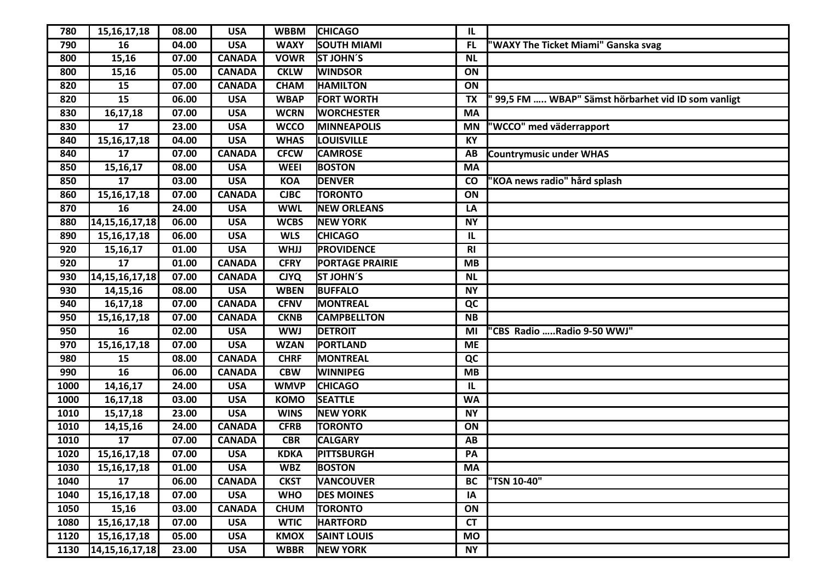| 780  | 15, 16, 17, 18     | 08.00 | <b>USA</b>    | <b>WBBM</b> | <b>CHICAGO</b>         | IL.       |                                                     |
|------|--------------------|-------|---------------|-------------|------------------------|-----------|-----------------------------------------------------|
| 790  | 16                 | 04.00 | <b>USA</b>    | <b>WAXY</b> | <b>SOUTH MIAMI</b>     | <b>FL</b> | "WAXY The Ticket Miami" Ganska svag                 |
| 800  | 15,16              | 07.00 | <b>CANADA</b> | <b>VOWR</b> | ST JOHN'S              | <b>NL</b> |                                                     |
| 800  | 15,16              | 05.00 | <b>CANADA</b> | <b>CKLW</b> | <b>WINDSOR</b>         | ON        |                                                     |
| 820  | 15                 | 07.00 | <b>CANADA</b> | <b>CHAM</b> | <b>HAMILTON</b>        | ON        |                                                     |
| 820  | 15                 | 06.00 | <b>USA</b>    | <b>WBAP</b> | <b>FORT WORTH</b>      | <b>TX</b> | " 99,5 FM  WBAP" Sämst hörbarhet vid ID som vanligt |
| 830  | 16,17,18           | 07.00 | <b>USA</b>    | <b>WCRN</b> | <b>WORCHESTER</b>      | <b>MA</b> |                                                     |
| 830  | 17                 | 23.00 | <b>USA</b>    | <b>WCCO</b> | <b>MINNEAPOLIS</b>     | <b>MN</b> | "WCCO" med väderrapport                             |
| 840  | 15, 16, 17, 18     | 04.00 | <b>USA</b>    | <b>WHAS</b> | <b>LOUISVILLE</b>      | KY        |                                                     |
| 840  | 17                 | 07.00 | <b>CANADA</b> | <b>CFCW</b> | <b>CAMROSE</b>         | AB        | <b>Countrymusic under WHAS</b>                      |
| 850  | 15,16,17           | 08.00 | <b>USA</b>    | <b>WEEI</b> | <b>BOSTON</b>          | <b>MA</b> |                                                     |
| 850  | $\overline{17}$    | 03.00 | <b>USA</b>    | <b>KOA</b>  | <b>DENVER</b>          | <b>CO</b> | "KOA news radio" hård splash                        |
| 860  | 15, 16, 17, 18     | 07.00 | <b>CANADA</b> | <b>CJBC</b> | <b>TORONTO</b>         | ON        |                                                     |
| 870  | 16                 | 24.00 | <b>USA</b>    | <b>WWL</b>  | <b>NEW ORLEANS</b>     | LA        |                                                     |
| 880  | 14, 15, 16, 17, 18 | 06.00 | <b>USA</b>    | <b>WCBS</b> | <b>NEW YORK</b>        | <b>NY</b> |                                                     |
| 890  | 15, 16, 17, 18     | 06.00 | <b>USA</b>    | <b>WLS</b>  | <b>CHICAGO</b>         | IL        |                                                     |
| 920  | 15, 16, 17         | 01.00 | <b>USA</b>    | <b>WHJJ</b> | <b>PROVIDENCE</b>      | R1        |                                                     |
| 920  | 17                 | 01.00 | <b>CANADA</b> | <b>CFRY</b> | <b>PORTAGE PRAIRIE</b> | <b>MB</b> |                                                     |
| 930  | 14, 15, 16, 17, 18 | 07.00 | <b>CANADA</b> | <b>CJYQ</b> | <b>ST JOHN'S</b>       | <b>NL</b> |                                                     |
| 930  | 14,15,16           | 08.00 | <b>USA</b>    | <b>WBEN</b> | <b>BUFFALO</b>         | <b>NY</b> |                                                     |
| 940  | 16,17,18           | 07.00 | <b>CANADA</b> | <b>CFNV</b> | MONTREAL               | QC        |                                                     |
| 950  | 15, 16, 17, 18     | 07.00 | <b>CANADA</b> | <b>CKNB</b> | <b>CAMPBELLTON</b>     | <b>NB</b> |                                                     |
| 950  | 16                 | 02.00 | <b>USA</b>    | <b>WWJ</b>  | <b>DETROIT</b>         | MI        | "CBS Radio Radio 9-50 WWJ"                          |
| 970  | 15, 16, 17, 18     | 07.00 | <b>USA</b>    | <b>WZAN</b> | <b>PORTLAND</b>        | <b>ME</b> |                                                     |
| 980  | 15                 | 08.00 | <b>CANADA</b> | <b>CHRF</b> | <b>MONTREAL</b>        | QC        |                                                     |
| 990  | 16                 | 06.00 | <b>CANADA</b> | <b>CBW</b>  | <b>WINNIPEG</b>        | MB        |                                                     |
| 1000 | 14, 16, 17         | 24.00 | <b>USA</b>    | <b>WMVP</b> | <b>CHICAGO</b>         | IL        |                                                     |
| 1000 | 16,17,18           | 03.00 | <b>USA</b>    | <b>KOMO</b> | <b>SEATTLE</b>         | <b>WA</b> |                                                     |
| 1010 | 15,17,18           | 23.00 | <b>USA</b>    | <b>WINS</b> | <b>NEW YORK</b>        | <b>NY</b> |                                                     |
| 1010 | 14,15,16           | 24.00 | <b>CANADA</b> | <b>CFRB</b> | <b>TORONTO</b>         | ON        |                                                     |
| 1010 | 17                 | 07.00 | <b>CANADA</b> | <b>CBR</b>  | <b>CALGARY</b>         | AB        |                                                     |
| 1020 | 15, 16, 17, 18     | 07.00 | <b>USA</b>    | <b>KDKA</b> | <b>PITTSBURGH</b>      | PA        |                                                     |
| 1030 | 15, 16, 17, 18     | 01.00 | <b>USA</b>    | <b>WBZ</b>  | <b>BOSTON</b>          | <b>MA</b> |                                                     |
| 1040 | 17                 | 06.00 | <b>CANADA</b> | <b>CKST</b> | <b>VANCOUVER</b>       | <b>BC</b> | "TSN 10-40"                                         |
| 1040 | 15, 16, 17, 18     | 07.00 | <b>USA</b>    | <b>WHO</b>  | <b>DES MOINES</b>      | IA        |                                                     |
| 1050 | 15,16              | 03.00 | <b>CANADA</b> | <b>CHUM</b> | <b>TORONTO</b>         | ON        |                                                     |
| 1080 | 15, 16, 17, 18     | 07.00 | <b>USA</b>    | <b>WTIC</b> | <b>HARTFORD</b>        | <b>CT</b> |                                                     |
| 1120 | 15, 16, 17, 18     | 05.00 | <b>USA</b>    | <b>KMOX</b> | <b>SAINT LOUIS</b>     | <b>MO</b> |                                                     |
| 1130 | 14, 15, 16, 17, 18 | 23.00 | <b>USA</b>    | <b>WBBR</b> | <b>NEW YORK</b>        | <b>NY</b> |                                                     |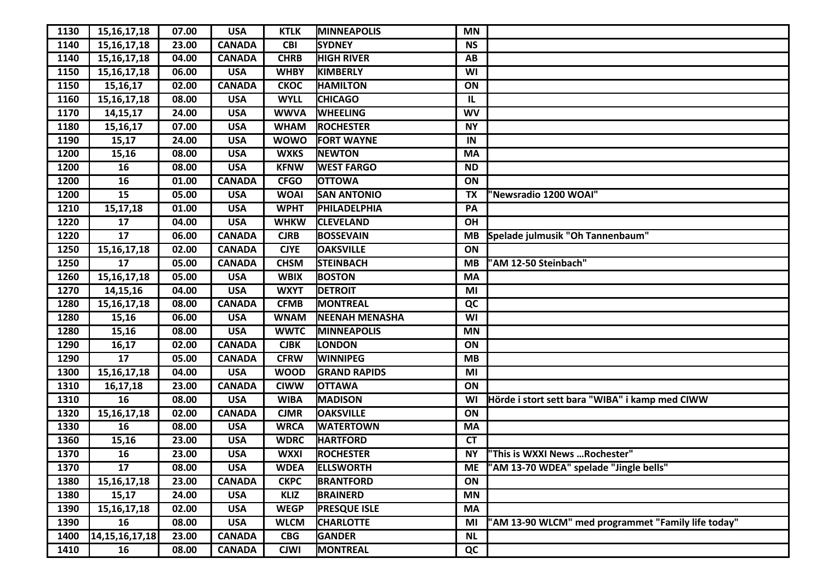| 1130 | 15, 16, 17, 18     | 07.00 | <b>USA</b>    | <b>KTLK</b> | <b>MINNEAPOLIS</b>    | <b>MN</b> |                                                    |
|------|--------------------|-------|---------------|-------------|-----------------------|-----------|----------------------------------------------------|
| 1140 | 15, 16, 17, 18     | 23.00 | <b>CANADA</b> | <b>CBI</b>  | <b>SYDNEY</b>         | <b>NS</b> |                                                    |
| 1140 | 15, 16, 17, 18     | 04.00 | <b>CANADA</b> | <b>CHRB</b> | <b>HIGH RIVER</b>     | AB        |                                                    |
| 1150 | 15, 16, 17, 18     | 06.00 | <b>USA</b>    | <b>WHBY</b> | <b>KIMBERLY</b>       | WI        |                                                    |
| 1150 | 15, 16, 17         | 02.00 | <b>CANADA</b> | <b>CKOC</b> | <b>HAMILTON</b>       | ON        |                                                    |
| 1160 | 15, 16, 17, 18     | 08.00 | <b>USA</b>    | <b>WYLL</b> | <b>CHICAGO</b>        | IL        |                                                    |
| 1170 | 14, 15, 17         | 24.00 | <b>USA</b>    | <b>WWVA</b> | <b>WHEELING</b>       | <b>WV</b> |                                                    |
| 1180 | 15, 16, 17         | 07.00 | <b>USA</b>    | <b>WHAM</b> | <b>ROCHESTER</b>      | <b>NY</b> |                                                    |
| 1190 | 15,17              | 24.00 | <b>USA</b>    | <b>WOWO</b> | <b>FORT WAYNE</b>     | IN        |                                                    |
| 1200 | 15,16              | 08.00 | <b>USA</b>    | <b>WXKS</b> | <b>NEWTON</b>         | <b>MA</b> |                                                    |
| 1200 | 16                 | 08.00 | <b>USA</b>    | <b>KFNW</b> | <b>WEST FARGO</b>     | <b>ND</b> |                                                    |
| 1200 | 16                 | 01.00 | <b>CANADA</b> | <b>CFGO</b> | <b>OTTOWA</b>         | ON        |                                                    |
| 1200 | 15                 | 05.00 | <b>USA</b>    | <b>WOAI</b> | <b>SAN ANTONIO</b>    | <b>TX</b> | "Newsradio 1200 WOAI"                              |
| 1210 | 15,17,18           | 01.00 | <b>USA</b>    | <b>WPHT</b> | PHILADELPHIA          | PA        |                                                    |
| 1220 | 17                 | 04.00 | <b>USA</b>    | <b>WHKW</b> | <b>CLEVELAND</b>      | OH        |                                                    |
| 1220 | 17                 | 06.00 | <b>CANADA</b> | <b>CJRB</b> | <b>BOSSEVAIN</b>      | <b>MB</b> | Spelade julmusik "Oh Tannenbaum"                   |
| 1250 | 15, 16, 17, 18     | 02.00 | <b>CANADA</b> | <b>CJYE</b> | <b>OAKSVILLE</b>      | ON        |                                                    |
| 1250 | 17                 | 05.00 | <b>CANADA</b> | <b>CHSM</b> | <b>STEINBACH</b>      | <b>MB</b> | 'AM 12-50 Steinbach"                               |
| 1260 | 15, 16, 17, 18     | 05.00 | <b>USA</b>    | <b>WBIX</b> | <b>BOSTON</b>         | <b>MA</b> |                                                    |
| 1270 | 14,15,16           | 04.00 | <b>USA</b>    | <b>WXYT</b> | <b>DETROIT</b>        | MI        |                                                    |
| 1280 | 15, 16, 17, 18     | 08.00 | <b>CANADA</b> | <b>CFMB</b> | <b>MONTREAL</b>       | QC        |                                                    |
| 1280 | 15,16              | 06.00 | <b>USA</b>    | <b>WNAM</b> | <b>NEENAH MENASHA</b> | WI        |                                                    |
| 1280 | 15,16              | 08.00 | <b>USA</b>    | <b>WWTC</b> | <b>MINNEAPOLIS</b>    | <b>MN</b> |                                                    |
| 1290 | 16,17              | 02.00 | <b>CANADA</b> | <b>CJBK</b> | LONDON                | ON        |                                                    |
| 1290 | 17                 | 05.00 | <b>CANADA</b> | <b>CFRW</b> | <b>WINNIPEG</b>       | <b>MB</b> |                                                    |
| 1300 | 15, 16, 17, 18     | 04.00 | <b>USA</b>    | <b>WOOD</b> | <b>GRAND RAPIDS</b>   | MI        |                                                    |
| 1310 | 16,17,18           | 23.00 | <b>CANADA</b> | <b>CIWW</b> | <b>OTTAWA</b>         | ON        |                                                    |
| 1310 | 16                 | 08.00 | <b>USA</b>    | <b>WIBA</b> | <b>MADISON</b>        | WI        | Hörde i stort sett bara "WIBA" i kamp med CIWW     |
| 1320 | 15, 16, 17, 18     | 02.00 | <b>CANADA</b> | <b>CJMR</b> | <b>OAKSVILLE</b>      | ON        |                                                    |
| 1330 | 16                 | 08.00 | <b>USA</b>    | <b>WRCA</b> | <b>WATERTOWN</b>      | <b>MA</b> |                                                    |
| 1360 | 15,16              | 23.00 | <b>USA</b>    | <b>WDRC</b> | <b>HARTFORD</b>       | <b>CT</b> |                                                    |
| 1370 | 16                 | 23.00 | <b>USA</b>    | <b>WXXI</b> | <b>ROCHESTER</b>      | <b>NY</b> | "This is WXXI News Rochester"                      |
| 1370 | 17                 | 08.00 | <b>USA</b>    | <b>WDEA</b> | <b>ELLSWORTH</b>      | <b>ME</b> | "AM 13-70 WDEA" spelade "Jingle bells"             |
| 1380 | 15, 16, 17, 18     | 23.00 | <b>CANADA</b> | <b>CKPC</b> | <b>BRANTFORD</b>      | ON        |                                                    |
| 1380 | 15,17              | 24.00 | <b>USA</b>    | <b>KLIZ</b> | <b>BRAINERD</b>       | <b>MN</b> |                                                    |
| 1390 | 15, 16, 17, 18     | 02.00 | <b>USA</b>    | <b>WEGP</b> | <b>PRESQUE ISLE</b>   | <b>MA</b> |                                                    |
| 1390 | 16                 | 08.00 | <b>USA</b>    | <b>WLCM</b> | <b>CHARLOTTE</b>      | MI        | 'AM 13-90 WLCM" med programmet "Family life today" |
| 1400 | 14, 15, 16, 17, 18 | 23.00 | <b>CANADA</b> | <b>CBG</b>  | <b>GANDER</b>         | <b>NL</b> |                                                    |
| 1410 | 16                 | 08.00 | <b>CANADA</b> | <b>CJWI</b> | <b>MONTREAL</b>       | QC        |                                                    |